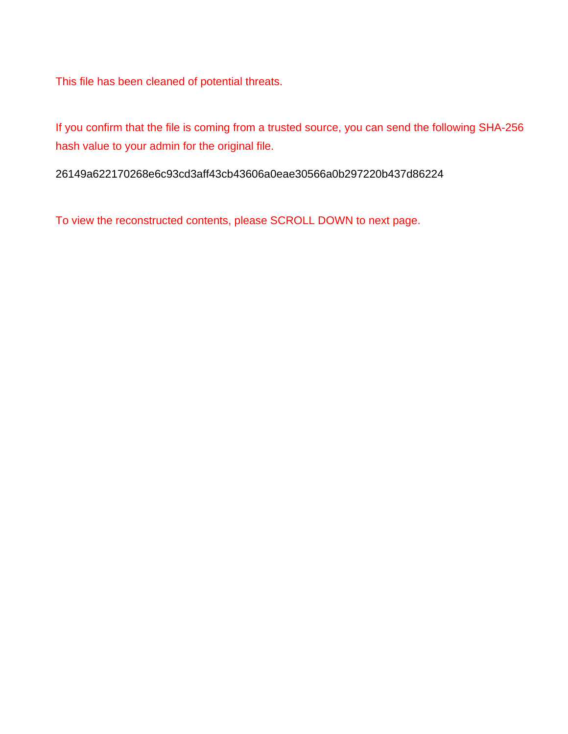This file has been cleaned of potential threats.

If you confirm that the file is coming from a trusted source, you can send the following SHA-256 hash value to your admin for the original file.

26149a622170268e6c93cd3aff43cb43606a0eae30566a0b297220b437d86224

To view the reconstructed contents, please SCROLL DOWN to next page.